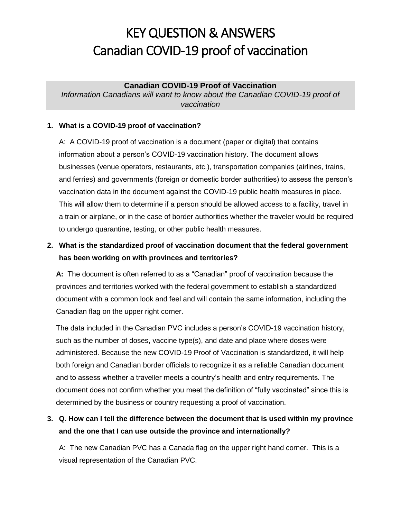#### **Canadian COVID-19 Proof of Vaccination**

*Information Canadians will want to know about the Canadian COVID-19 proof of vaccination*

#### **1. What is a COVID-19 proof of vaccination?**

A: A COVID-19 proof of vaccination is a document (paper or digital) that contains information about a person's COVID-19 vaccination history. The document allows businesses (venue operators, restaurants, etc.), transportation companies (airlines, trains, and ferries) and governments (foreign or domestic border authorities) to assess the person's vaccination data in the document against the COVID-19 public health measures in place. This will allow them to determine if a person should be allowed access to a facility, travel in a train or airplane, or in the case of border authorities whether the traveler would be required to undergo quarantine, testing, or other public health measures.

## **2. What is the standardized proof of vaccination document that the federal government has been working on with provinces and territories?**

**A:** The document is often referred to as a "Canadian" proof of vaccination because the provinces and territories worked with the federal government to establish a standardized document with a common look and feel and will contain the same information, including the Canadian flag on the upper right corner.

The data included in the Canadian PVC includes a person's COVID-19 vaccination history, such as the number of doses, vaccine type(s), and date and place where doses were administered. Because the new COVID-19 Proof of Vaccination is standardized, it will help both foreign and Canadian border officials to recognize it as a reliable Canadian document and to assess whether a traveller meets a country's health and entry requirements. The document does not confirm whether you meet the definition of "fully vaccinated" since this is determined by the business or country requesting a proof of vaccination.

### **3. Q. How can I tell the difference between the document that is used within my province and the one that I can use outside the province and internationally?**

A: The new Canadian PVC has a Canada flag on the upper right hand corner. This is a visual representation of the Canadian PVC.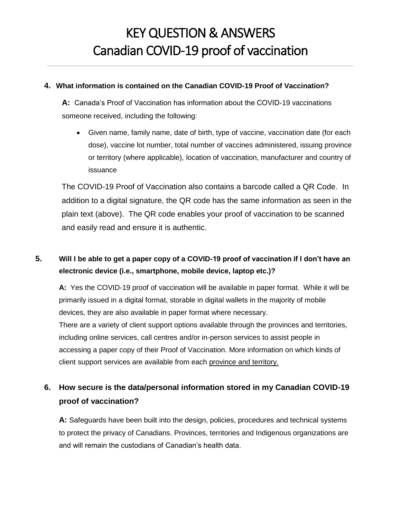#### **4. What information is contained on the Canadian COVID-19 Proof of Vaccination?**

**A:** Canada's Proof of Vaccination has information about the COVID-19 vaccinations someone received, including the following:

 Given name, family name, date of birth, type of vaccine, vaccination date (for each dose), vaccine lot number, total number of vaccines administered, issuing province or territory (where applicable), location of vaccination, manufacturer and country of issuance

The COVID-19 Proof of Vaccination also contains a barcode called a QR Code. In addition to a digital signature, the QR code has the same information as seen in the plain text (above). The QR code enables your proof of vaccination to be scanned and easily read and ensure it is authentic.

### **5. Will I be able to get a paper copy of a COVID-19 proof of vaccination if I don't have an electronic device (i.e., smartphone, mobile device, laptop etc.)?**

**A:** Yes the COVID-19 proof of vaccination will be available in paper format. While it will be primarily issued in a digital format, storable in digital wallets in the majority of mobile devices, they are also available in paper format where necessary. There are a variety of client support options available through the provinces and territories, including online services, call centres and/or in-person services to assist people in accessing a paper copy of their Proof of Vaccination. More information on which kinds of client support services are available from each province and territory.

## **6. How secure is the data/personal information stored in my Canadian COVID-19 proof of vaccination?**

**A:** Safeguards have been built into the design, policies, procedures and technical systems to protect the privacy of Canadians. Provinces, territories and Indigenous organizations are and will remain the custodians of Canadian's health data.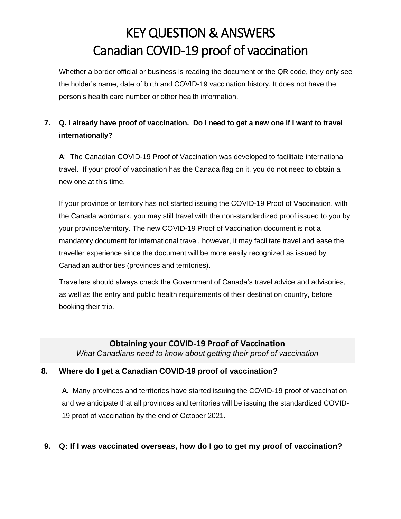Whether a border official or business is reading the document or the QR code, they only see the holder's name, date of birth and COVID-19 vaccination history. It does not have the person's health card number or other health information.

## **7. Q. I already have proof of vaccination. Do I need to get a new one if I want to travel internationally?**

**A**: The Canadian COVID-19 Proof of Vaccination was developed to facilitate international travel. If your proof of vaccination has the Canada flag on it, you do not need to obtain a new one at this time.

If your province or territory has not started issuing the COVID-19 Proof of Vaccination, with the Canada wordmark, you may still travel with the non-standardized proof issued to you by your province/territory. The new COVID-19 Proof of Vaccination document is not a mandatory document for international travel, however, it may facilitate travel and ease the traveller experience since the document will be more easily recognized as issued by Canadian authorities (provinces and territories).

Travellers should always check the Government of Canada's [travel advice and advisories,](https://travel.gc.ca/travelling/advisories) as well as the entry and public health requirements of their destination country, before booking their trip.

#### **Obtaining your COVID-19 Proof of Vaccination**

*What Canadians need to know about getting their proof of vaccination*

#### **8. Where do I get a Canadian COVID-19 proof of vaccination?**

**A.** Many provinces and territories have started issuing the COVID-19 proof of vaccination and we anticipate that all provinces and territories will be issuing the standardized COVID-19 proof of vaccination by the end of October 2021.

### **9. Q: If I was vaccinated overseas, how do I go to get my proof of vaccination?**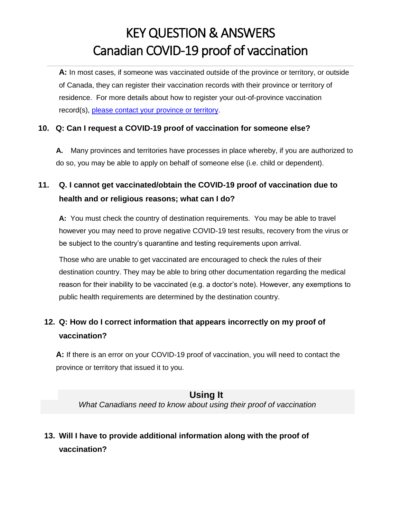**A:** In most cases, if someone was vaccinated outside of the province or territory, or outside of Canada, they can register their vaccination records with their province or territory of residence. For more details about how to register your out-of-province vaccination record(s), [please contact your province or territory.](https://www.canada.ca/en/public-health/services/diseases/coronavirus-disease-covid-19/vaccines/life-after-vaccination/vaccine-proof.html)

#### **10. Q: Can I request a COVID-19 proof of vaccination for someone else?**

**A.** Many provinces and territories have processes in place whereby, if you are authorized to do so, you may be able to apply on behalf of someone else (i.e. child or dependent).

## **11. Q. I cannot get vaccinated/obtain the COVID-19 proof of vaccination due to health and or religious reasons; what can I do?**

**A:** You must check the country of destination requirements. You may be able to travel however you may need to prove negative COVID-19 test results, recovery from the virus or be subject to the country's quarantine and testing requirements upon arrival.

Those who are unable to get vaccinated are encouraged to check the rules of their destination country. They may be able to bring other documentation regarding the medical reason for their inability to be vaccinated (e.g. a doctor's note). However, any exemptions to public health requirements are determined by the destination country.

## **12. Q: How do I correct information that appears incorrectly on my proof of vaccination?**

**A:** If there is an error on your COVID-19 proof of vaccination, you will need to contact the province or territory that issued it to you.

### **Using It**

*What Canadians need to know about using their proof of vaccination*

# **13. Will I have to provide additional information along with the proof of vaccination?**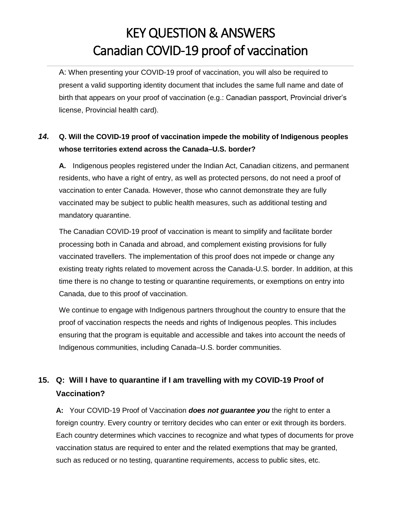A: When presenting your COVID-19 proof of vaccination, you will also be required to present a valid supporting identity document that includes the same full name and date of birth that appears on your proof of vaccination (e.g.: Canadian passport, Provincial driver's license, Provincial health card).

## *14.* **Q. Will the COVID-19 proof of vaccination impede the mobility of Indigenous peoples whose territories extend across the Canada–U.S. border?**

**A.** Indigenous peoples registered under the Indian Act, Canadian citizens, and permanent residents, who have a right of entry, as well as protected persons, do not need a proof of vaccination to enter Canada. However, those who cannot demonstrate they are fully vaccinated may be subject to public health measures, such as additional testing and mandatory quarantine.

The Canadian COVID-19 proof of vaccination is meant to simplify and facilitate border processing both in Canada and abroad, and complement existing provisions for fully vaccinated travellers. The implementation of this proof does not impede or change any existing treaty rights related to movement across the Canada-U.S. border. In addition, at this time there is no change to testing or quarantine requirements, or exemptions on entry into Canada, due to this proof of vaccination.

We continue to engage with Indigenous partners throughout the country to ensure that the proof of vaccination respects the needs and rights of Indigenous peoples. This includes ensuring that the program is equitable and accessible and takes into account the needs of Indigenous communities, including Canada–U.S. border communities.

## **15. Q: Will I have to quarantine if I am travelling with my COVID-19 Proof of Vaccination?**

**A:** Your COVID-19 Proof of Vaccination *does not guarantee you* the right to enter a foreign country. Every country or territory decides who can enter or exit through its borders. Each country determines which vaccines to recognize and what types of documents for prove vaccination status are required to enter and the related exemptions that may be granted, such as reduced or no testing, quarantine requirements, access to public sites, etc.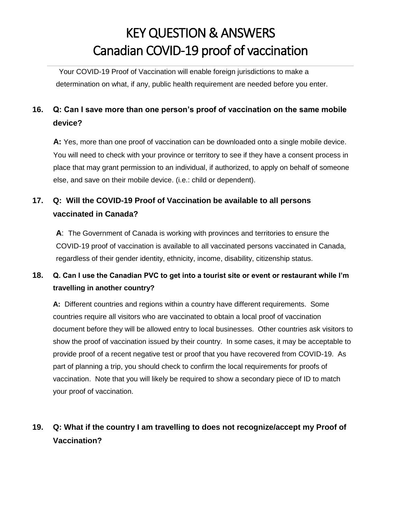Your COVID-19 Proof of Vaccination will enable foreign jurisdictions to make a determination on what, if any, public health requirement are needed before you enter.

## **16. Q: Can I save more than one person's proof of vaccination on the same mobile device?**

**A:** Yes, more than one proof of vaccination can be downloaded onto a single mobile device. You will need to check with your province or territory to see if they have a consent process in place that may grant permission to an individual, if authorized, to apply on behalf of someone else, and save on their mobile device. (i.e.: child or dependent).

## **17. Q: Will the COVID-19 Proof of Vaccination be available to all persons vaccinated in Canada?**

**A**: The Government of Canada is working with provinces and territories to ensure the COVID-19 proof of vaccination is available to all vaccinated persons vaccinated in Canada, regardless of their gender identity, ethnicity, income, disability, citizenship status.

### **18. Q. Can I use the Canadian PVC to get into a tourist site or event or restaurant while I'm travelling in another country?**

**A:** Different countries and regions within a country have different requirements. Some countries require all visitors who are vaccinated to obtain a local proof of vaccination document before they will be allowed entry to local businesses. Other countries ask visitors to show the proof of vaccination issued by their country. In some cases, it may be acceptable to provide proof of a recent negative test or proof that you have recovered from COVID-19. As part of planning a trip, you should check to confirm the local requirements for proofs of vaccination. Note that you will likely be required to show a secondary piece of ID to match your proof of vaccination.

## **19. Q: What if the country I am travelling to does not recognize/accept my Proof of Vaccination?**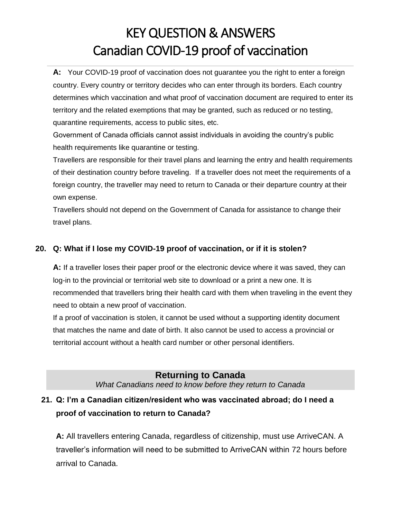**A:** Your COVID-19 proof of vaccination does not guarantee you the right to enter a foreign country. Every country or territory decides who can enter through its borders. Each country determines which vaccination and what proof of vaccination document are required to enter its territory and the related exemptions that may be granted, such as reduced or no testing, quarantine requirements, access to public sites, etc.

Government of Canada officials cannot assist individuals in avoiding the country's public health requirements like quarantine or testing.

Travellers are responsible for their travel plans and learning the entry and health requirements of their destination country before traveling. If a traveller does not meet the requirements of a foreign country, the traveller may need to return to Canada or their departure country at their own expense.

Travellers should not depend on the Government of Canada for assistance to change their travel plans.

### **20. Q: What if I lose my COVID-19 proof of vaccination, or if it is stolen?**

**A:** If a traveller loses their paper proof or the electronic device where it was saved, they can log-in to the provincial or territorial web site to download or a print a new one. It is recommended that travellers bring their health card with them when traveling in the event they need to obtain a new proof of vaccination.

If a proof of vaccination is stolen, it cannot be used without a supporting identity document that matches the name and date of birth. It also cannot be used to access a provincial or territorial account without a health card number or other personal identifiers.

### **Returning to Canada**

*What Canadians need to know before they return to Canada*

## **21. Q: I'm a Canadian citizen/resident who was vaccinated abroad; do I need a proof of vaccination to return to Canada?**

**A:** All travellers entering Canada, regardless of citizenship, must use ArriveCAN. A traveller's information will need to be submitted to ArriveCAN within 72 hours before arrival to Canada.